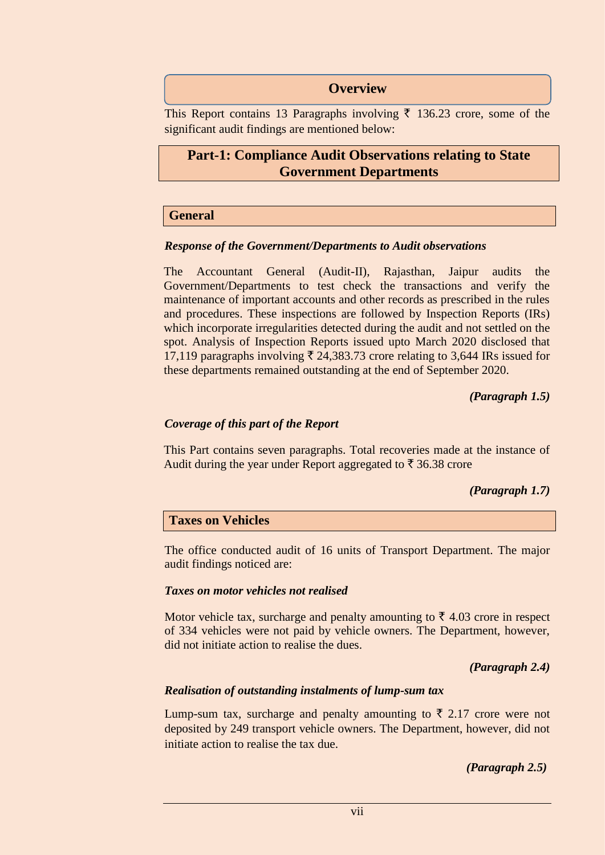## **Overview**

This Report contains 13 Paragraphs involving  $\bar{\tau}$  136.23 crore, some of the significant audit findings are mentioned below:

# **Part-1: Compliance Audit Observations relating to State Government Departments**

#### **General**

#### *Response of the Government/Departments to Audit observations*

The Accountant General (Audit-II), Rajasthan, Jaipur audits the Government/Departments to test check the transactions and verify the maintenance of important accounts and other records as prescribed in the rules and procedures. These inspections are followed by Inspection Reports (IRs) which incorporate irregularities detected during the audit and not settled on the spot. Analysis of Inspection Reports issued upto March 2020 disclosed that 17,119 paragraphs involving  $\overline{\xi}$  24,383.73 crore relating to 3,644 IRs issued for these departments remained outstanding at the end of September 2020.

*(Paragraph 1.5)*

#### *Coverage of this part of the Report*

This Part contains seven paragraphs. Total recoveries made at the instance of Audit during the year under Report aggregated to  $\bar{\tau}$  36.38 crore

#### *(Paragraph 1.7)*

#### **Taxes on Vehicles**

The office conducted audit of 16 units of Transport Department. The major audit findings noticed are:

#### *Taxes on motor vehicles not realised*

Motor vehicle tax, surcharge and penalty amounting to  $\bar{\tau}$  4.03 crore in respect of 334 vehicles were not paid by vehicle owners. The Department, however, did not initiate action to realise the dues.

 *(Paragraph 2.4)*

#### *Realisation of outstanding instalments of lump-sum tax*

Lump-sum tax, surcharge and penalty amounting to  $\bar{\xi}$  2.17 crore were not deposited by 249 transport vehicle owners. The Department, however, did not initiate action to realise the tax due.

 *(Paragraph 2.5)*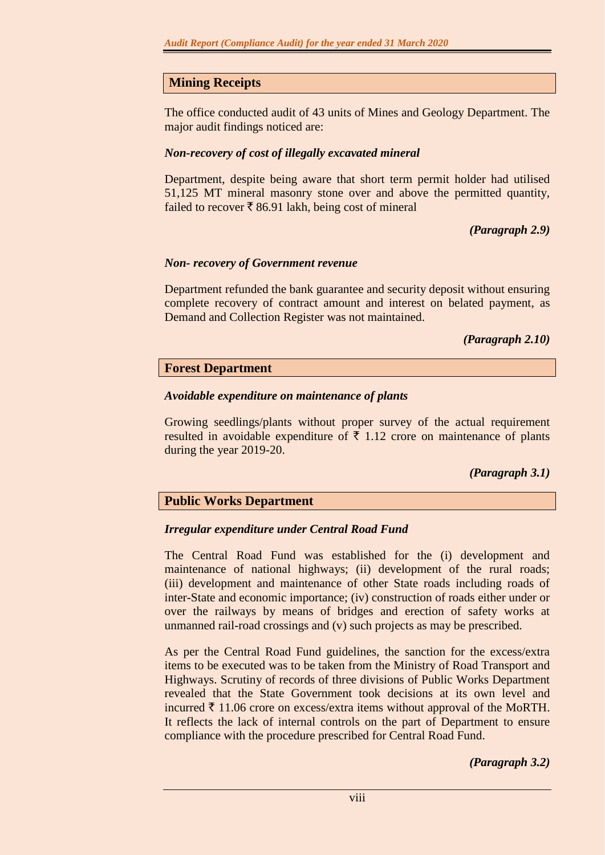# **Mining Receipts**

The office conducted audit of 43 units of Mines and Geology Department. The major audit findings noticed are:

# *Non-recovery of cost of illegally excavated mineral*

Department, despite being aware that short term permit holder had utilised 51,125 MT mineral masonry stone over and above the permitted quantity, failed to recover  $\bar{\xi}$  86.91 lakh, being cost of mineral

*(Paragraph 2.9)*

## *Non- recovery of Government revenue*

Department refunded the bank guarantee and security deposit without ensuring complete recovery of contract amount and interest on belated payment, as Demand and Collection Register was not maintained.

*(Paragraph 2.10)*

## **Forest Department**

## *Avoidable expenditure on maintenance of plants*

Growing seedlings/plants without proper survey of the actual requirement resulted in avoidable expenditure of  $\bar{\tau}$  1.12 crore on maintenance of plants during the year 2019-20.

# *(Paragraph 3.1)*

# **Public Works Department**

#### *Irregular expenditure under Central Road Fund*

The Central Road Fund was established for the (i) development and maintenance of national highways; (ii) development of the rural roads; (iii) development and maintenance of other State roads including roads of inter-State and economic importance; (iv) construction of roads either under or over the railways by means of bridges and erection of safety works at unmanned rail-road crossings and (v) such projects as may be prescribed.

As per the Central Road Fund guidelines, the sanction for the excess/extra items to be executed was to be taken from the Ministry of Road Transport and Highways. Scrutiny of records of three divisions of Public Works Department revealed that the State Government took decisions at its own level and incurred  $\bar{\tau}$  11.06 crore on excess/extra items without approval of the MoRTH. It reflects the lack of internal controls on the part of Department to ensure compliance with the procedure prescribed for Central Road Fund.

*(Paragraph 3.2)*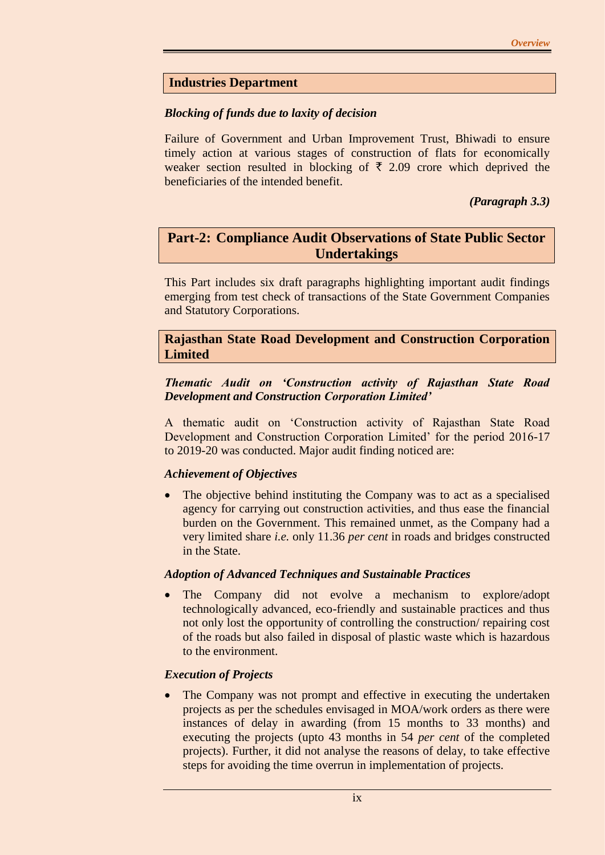# **Industries Department**

#### *Blocking of funds due to laxity of decision*

Failure of Government and Urban Improvement Trust, Bhiwadi to ensure timely action at various stages of construction of flats for economically weaker section resulted in blocking of  $\bar{\tau}$  2.09 crore which deprived the beneficiaries of the intended benefit.

*(Paragraph 3.3)*

# **Part-2: Compliance Audit Observations of State Public Sector Undertakings**

This Part includes six draft paragraphs highlighting important audit findings emerging from test check of transactions of the State Government Companies and Statutory Corporations.

## **Rajasthan State Road Development and Construction Corporation Limited**

## *Thematic Audit on 'Construction activity of Rajasthan State Road Development and Construction Corporation Limited'*

A thematic audit on 'Construction activity of Rajasthan State Road Development and Construction Corporation Limited' for the period 2016-17 to 2019-20 was conducted. Major audit finding noticed are:

#### *Achievement of Objectives*

• The objective behind instituting the Company was to act as a specialised agency for carrying out construction activities, and thus ease the financial burden on the Government. This remained unmet, as the Company had a very limited share *i.e.* only 11.36 *per cent* in roads and bridges constructed in the State.

#### *Adoption of Advanced Techniques and Sustainable Practices*

 The Company did not evolve a mechanism to explore/adopt technologically advanced, eco-friendly and sustainable practices and thus not only lost the opportunity of controlling the construction/ repairing cost of the roads but also failed in disposal of plastic waste which is hazardous to the environment.

# *Execution of Projects*

 The Company was not prompt and effective in executing the undertaken projects as per the schedules envisaged in MOA/work orders as there were instances of delay in awarding (from 15 months to 33 months) and executing the projects (upto 43 months in 54 *per cent* of the completed projects). Further, it did not analyse the reasons of delay, to take effective steps for avoiding the time overrun in implementation of projects.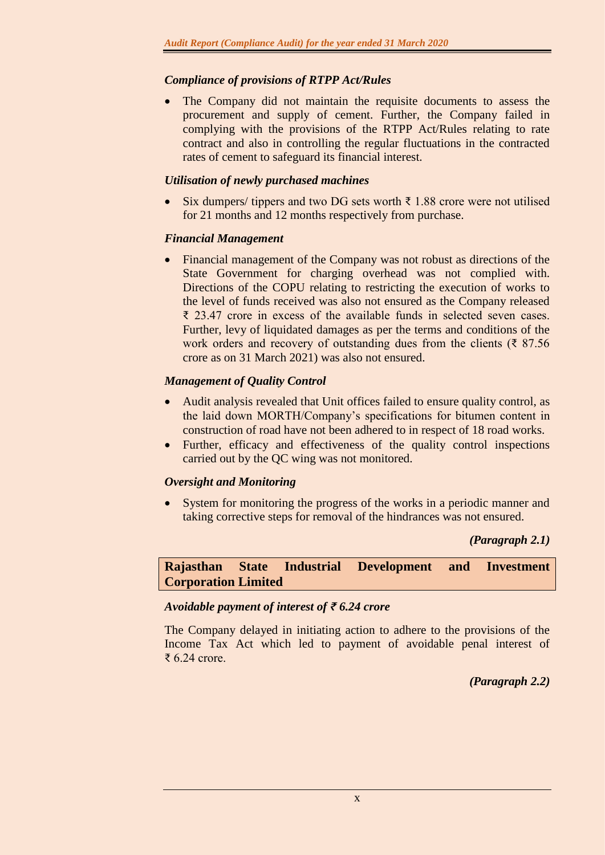# *Compliance of provisions of RTPP Act/Rules*

 The Company did not maintain the requisite documents to assess the procurement and supply of cement. Further, the Company failed in complying with the provisions of the RTPP Act/Rules relating to rate contract and also in controlling the regular fluctuations in the contracted rates of cement to safeguard its financial interest.

## *Utilisation of newly purchased machines*

Six dumpers/ tippers and two DG sets worth  $\bar{\tau}$  1.88 crore were not utilised for 21 months and 12 months respectively from purchase.

## *Financial Management*

 Financial management of the Company was not robust as directions of the State Government for charging overhead was not complied with. Directions of the COPU relating to restricting the execution of works to the level of funds received was also not ensured as the Company released ₹ 23.47 crore in excess of the available funds in selected seven cases. Further, levy of liquidated damages as per the terms and conditions of the work orders and recovery of outstanding dues from the clients ( $\overline{\xi}$  87.56) crore as on 31 March 2021) was also not ensured.

# *Management of Quality Control*

- Audit analysis revealed that Unit offices failed to ensure quality control, as the laid down MORTH/Company's specifications for bitumen content in construction of road have not been adhered to in respect of 18 road works.
- Further, efficacy and effectiveness of the quality control inspections carried out by the QC wing was not monitored.

#### *Oversight and Monitoring*

• System for monitoring the progress of the works in a periodic manner and taking corrective steps for removal of the hindrances was not ensured.

*(Paragraph 2.1)*

**Rajasthan State Industrial Development and Investment Corporation Limited**

#### *Avoidable payment of interest of ₹ 6.24 crore*

The Company delayed in initiating action to adhere to the provisions of the Income Tax Act which led to payment of avoidable penal interest of ₹ 6.24 crore.

*(Paragraph 2.2)*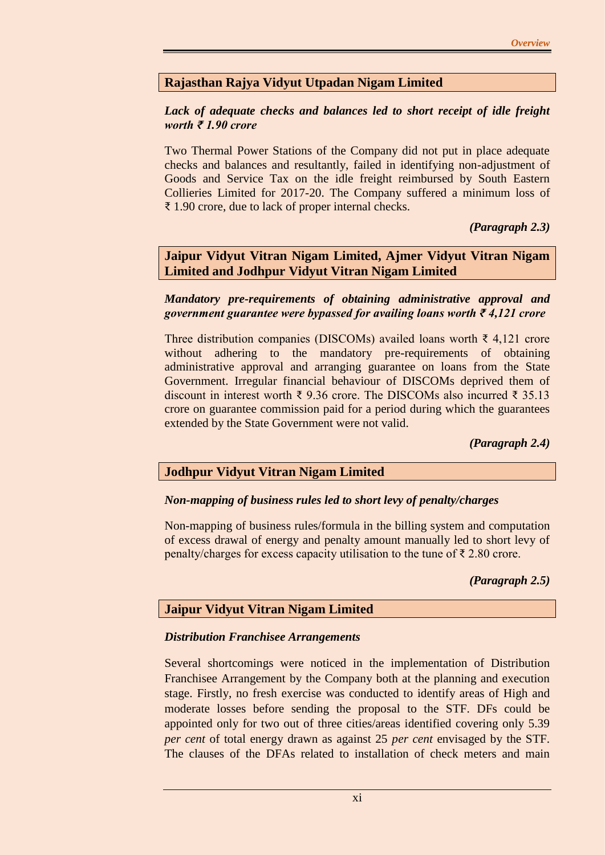# **Rajasthan Rajya Vidyut Utpadan Nigam Limited**

#### *Lack of adequate checks and balances led to short receipt of idle freight worth ₹ 1.90 crore*

Two Thermal Power Stations of the Company did not put in place adequate checks and balances and resultantly, failed in identifying non-adjustment of Goods and Service Tax on the idle freight reimbursed by South Eastern Collieries Limited for 2017-20. The Company suffered a minimum loss of ₹ 1.90 crore, due to lack of proper internal checks.

## *(Paragraph 2.3)*

**Jaipur Vidyut Vitran Nigam Limited, Ajmer Vidyut Vitran Nigam Limited and Jodhpur Vidyut Vitran Nigam Limited**

#### *Mandatory pre-requirements of obtaining administrative approval and government guarantee were bypassed for availing loans worth ₹ 4,121 crore*

Three distribution companies (DISCOMs) availed loans worth ₹ 4,121 crore without adhering to the mandatory pre-requirements of obtaining administrative approval and arranging guarantee on loans from the State Government. Irregular financial behaviour of DISCOMs deprived them of discount in interest worth ₹ 9.36 crore. The DISCOMs also incurred ₹ 35.13 crore on guarantee commission paid for a period during which the guarantees extended by the State Government were not valid.

#### *(Paragraph 2.4)*

#### **Jodhpur Vidyut Vitran Nigam Limited**

#### *Non-mapping of business rules led to short levy of penalty/charges*

Non-mapping of business rules/formula in the billing system and computation of excess drawal of energy and penalty amount manually led to short levy of penalty/charges for excess capacity utilisation to the tune of  $\bar{\tau}$  2.80 crore.

#### *(Paragraph 2.5)*

#### **Jaipur Vidyut Vitran Nigam Limited**

#### *Distribution Franchisee Arrangements*

Several shortcomings were noticed in the implementation of Distribution Franchisee Arrangement by the Company both at the planning and execution stage. Firstly, no fresh exercise was conducted to identify areas of High and moderate losses before sending the proposal to the STF. DFs could be appointed only for two out of three cities/areas identified covering only 5.39 *per cent* of total energy drawn as against 25 *per cent* envisaged by the STF. The clauses of the DFAs related to installation of check meters and main